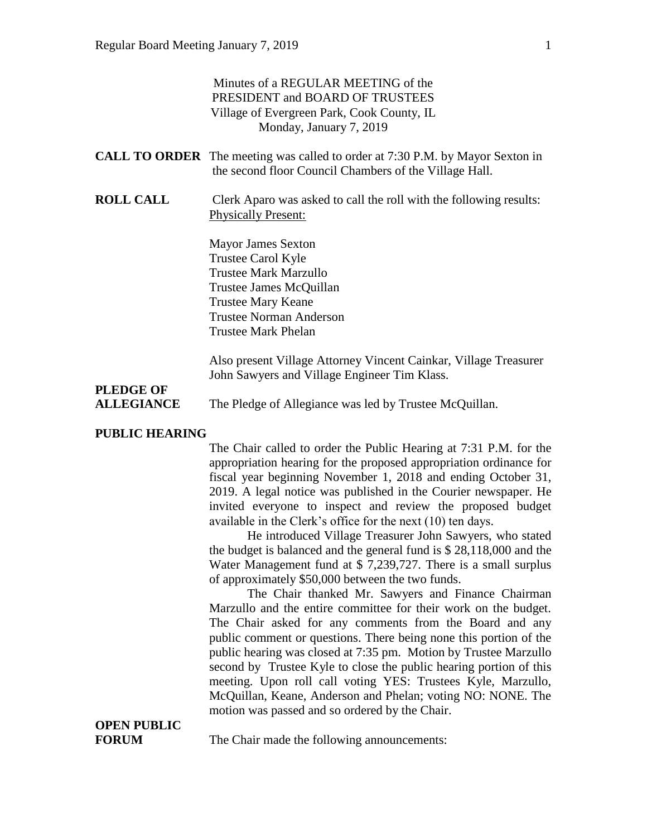|                       | Minutes of a REGULAR MEETING of the<br>PRESIDENT and BOARD OF TRUSTEES<br>Village of Evergreen Park, Cook County, IL<br>Monday, January 7, 2019 |
|-----------------------|-------------------------------------------------------------------------------------------------------------------------------------------------|
|                       | <b>CALL TO ORDER</b> The meeting was called to order at 7:30 P.M. by Mayor Sexton in<br>the second floor Council Chambers of the Village Hall.  |
| <b>ROLL CALL</b>      | Clerk Aparo was asked to call the roll with the following results:<br><b>Physically Present:</b>                                                |
|                       | <b>Mayor James Sexton</b>                                                                                                                       |
|                       | Trustee Carol Kyle                                                                                                                              |
|                       | <b>Trustee Mark Marzullo</b>                                                                                                                    |
|                       | Trustee James McQuillan                                                                                                                         |
|                       | <b>Trustee Mary Keane</b>                                                                                                                       |
|                       | <b>Trustee Norman Anderson</b>                                                                                                                  |
|                       | <b>Trustee Mark Phelan</b>                                                                                                                      |
|                       | Also present Village Attorney Vincent Cainkar, Village Treasurer                                                                                |
|                       | John Sawyers and Village Engineer Tim Klass.                                                                                                    |
| <b>PLEDGE OF</b>      |                                                                                                                                                 |
| <b>ALLEGIANCE</b>     | The Pledge of Allegiance was led by Trustee McQuillan.                                                                                          |
| <b>PUBLIC HEARING</b> |                                                                                                                                                 |

The Chair called to order the Public Hearing at 7:31 P.M. for the appropriation hearing for the proposed appropriation ordinance for fiscal year beginning November 1, 2018 and ending October 31, 2019. A legal notice was published in the Courier newspaper. He invited everyone to inspect and review the proposed budget available in the Clerk's office for the next (10) ten days.

He introduced Village Treasurer John Sawyers, who stated the budget is balanced and the general fund is \$ 28,118,000 and the Water Management fund at \$ 7,239,727. There is a small surplus of approximately \$50,000 between the two funds.

The Chair thanked Mr. Sawyers and Finance Chairman Marzullo and the entire committee for their work on the budget. The Chair asked for any comments from the Board and any public comment or questions. There being none this portion of the public hearing was closed at 7:35 pm. Motion by Trustee Marzullo second by Trustee Kyle to close the public hearing portion of this meeting. Upon roll call voting YES: Trustees Kyle, Marzullo, McQuillan, Keane, Anderson and Phelan; voting NO: NONE. The motion was passed and so ordered by the Chair.

# **OPEN PUBLIC**

**FORUM** The Chair made the following announcements: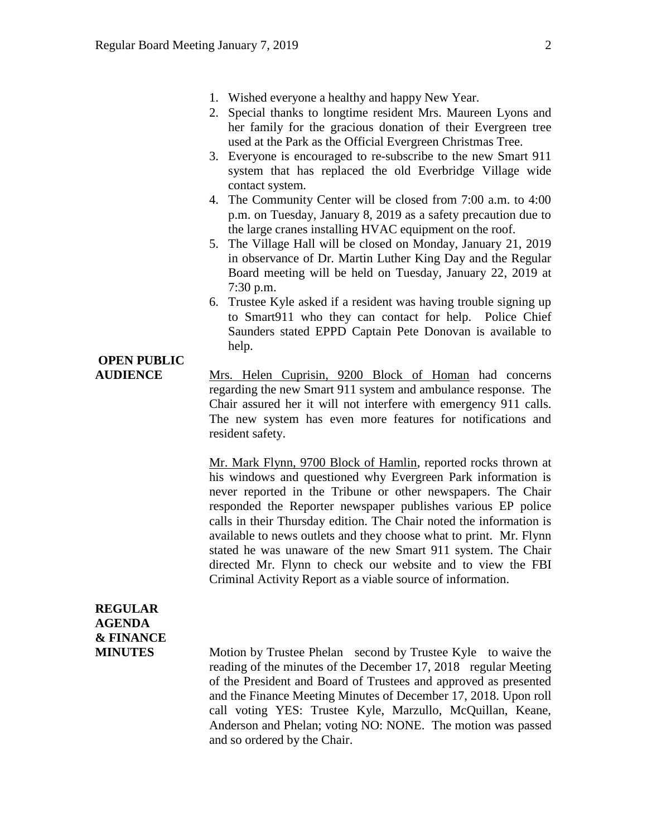- 1. Wished everyone a healthy and happy New Year.
- 2. Special thanks to longtime resident Mrs. Maureen Lyons and her family for the gracious donation of their Evergreen tree used at the Park as the Official Evergreen Christmas Tree.
- 3. Everyone is encouraged to re-subscribe to the new Smart 911 system that has replaced the old Everbridge Village wide contact system.
- 4. The Community Center will be closed from 7:00 a.m. to 4:00 p.m. on Tuesday, January 8, 2019 as a safety precaution due to the large cranes installing HVAC equipment on the roof.
- 5. The Village Hall will be closed on Monday, January 21, 2019 in observance of Dr. Martin Luther King Day and the Regular Board meeting will be held on Tuesday, January 22, 2019 at 7:30 p.m.
- 6. Trustee Kyle asked if a resident was having trouble signing up to Smart911 who they can contact for help. Police Chief Saunders stated EPPD Captain Pete Donovan is available to help.

# **OPEN PUBLIC**

**AUDIENCE** Mrs. Helen Cuprisin, 9200 Block of Homan had concerns regarding the new Smart 911 system and ambulance response. The Chair assured her it will not interfere with emergency 911 calls. The new system has even more features for notifications and resident safety.

> Mr. Mark Flynn, 9700 Block of Hamlin, reported rocks thrown at his windows and questioned why Evergreen Park information is never reported in the Tribune or other newspapers. The Chair responded the Reporter newspaper publishes various EP police calls in their Thursday edition. The Chair noted the information is available to news outlets and they choose what to print. Mr. Flynn stated he was unaware of the new Smart 911 system. The Chair directed Mr. Flynn to check our website and to view the FBI Criminal Activity Report as a viable source of information.

### **REGULAR AGENDA & FINANCE**

**MINUTES** Motion by Trustee Phelan second by Trustee Kyle to waive the reading of the minutes of the December 17, 2018 regular Meeting of the President and Board of Trustees and approved as presented and the Finance Meeting Minutes of December 17, 2018. Upon roll call voting YES: Trustee Kyle, Marzullo, McQuillan, Keane, Anderson and Phelan; voting NO: NONE. The motion was passed and so ordered by the Chair.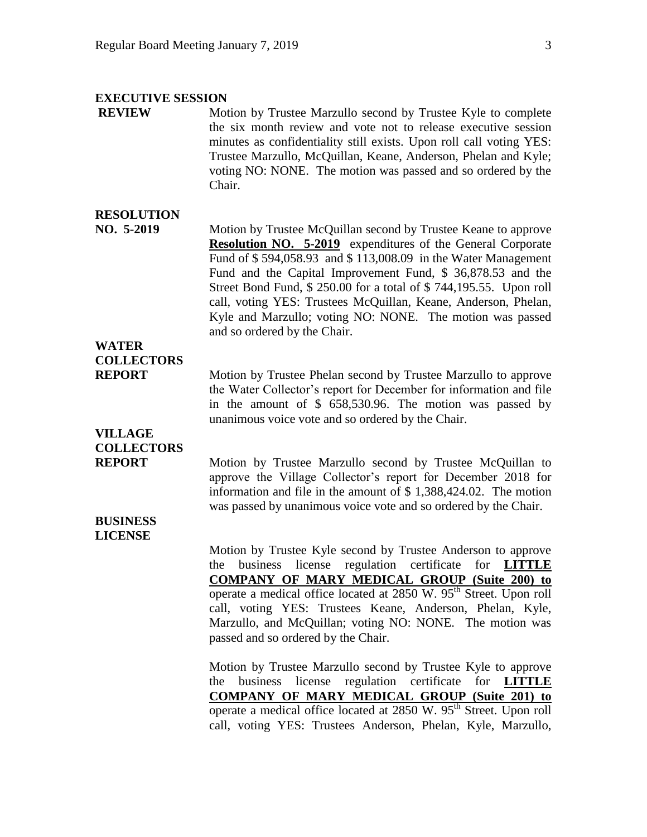#### **EXECUTIVE SESSION**

**REVIEW** Motion by Trustee Marzullo second by Trustee Kyle to complete the six month review and vote not to release executive session minutes as confidentiality still exists. Upon roll call voting YES: Trustee Marzullo, McQuillan, Keane, Anderson, Phelan and Kyle; voting NO: NONE. The motion was passed and so ordered by the Chair.

### **RESOLUTION**

**NO. 5-2019** Motion by Trustee McQuillan second by Trustee Keane to approve **Resolution NO. 5-2019** expenditures of the General Corporate Fund of \$ 594,058.93 and \$ 113,008.09 in the Water Management Fund and the Capital Improvement Fund, \$ 36,878.53 and the Street Bond Fund, \$ 250.00 for a total of \$ 744,195.55. Upon roll call, voting YES: Trustees McQuillan, Keane, Anderson, Phelan, Kyle and Marzullo; voting NO: NONE. The motion was passed and so ordered by the Chair.

## **WATER COLLECTORS**

**REPORT** Motion by Trustee Phelan second by Trustee Marzullo to approve the Water Collector's report for December for information and file in the amount of \$ 658,530.96. The motion was passed by unanimous voice vote and so ordered by the Chair.

## **VILLAGE COLLECTORS**

**REPORT** Motion by Trustee Marzullo second by Trustee McQuillan to approve the Village Collector's report for December 2018 for information and file in the amount of \$ 1,388,424.02. The motion was passed by unanimous voice vote and so ordered by the Chair.

#### **BUSINESS LICENSE**

Motion by Trustee Kyle second by Trustee Anderson to approve the business license regulation certificate for **LITTLE COMPANY OF MARY MEDICAL GROUP (Suite 200) to** operate a medical office located at  $2850 \text{ W}$ .  $95^{\text{th}}$  Street. Upon roll call, voting YES: Trustees Keane, Anderson, Phelan, Kyle, Marzullo, and McQuillan; voting NO: NONE. The motion was passed and so ordered by the Chair.

Motion by Trustee Marzullo second by Trustee Kyle to approve the business license regulation certificate for **LITTLE COMPANY OF MARY MEDICAL GROUP (Suite 201) to** operate a medical office located at 2850 W. 95<sup>th</sup> Street. Upon roll call, voting YES: Trustees Anderson, Phelan, Kyle, Marzullo,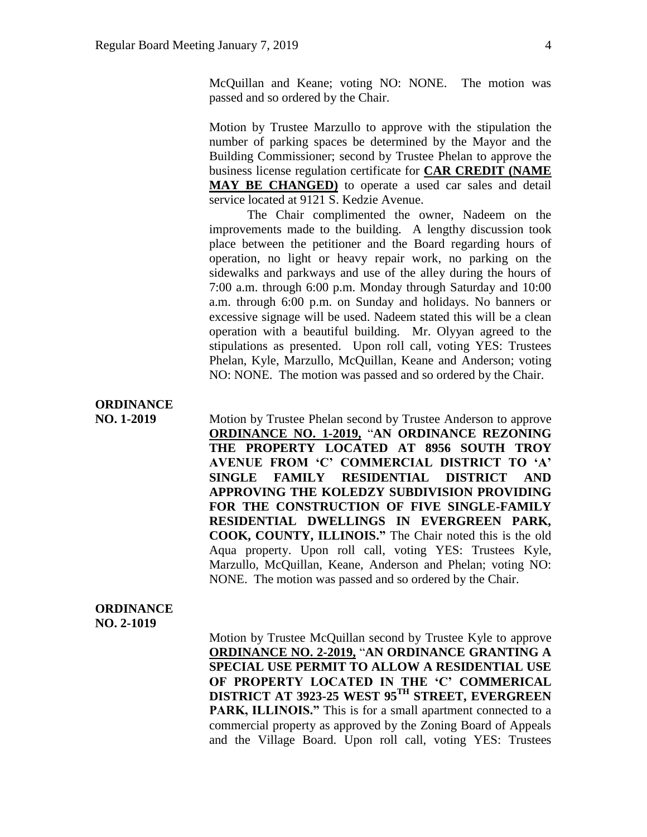McQuillan and Keane; voting NO: NONE. The motion was passed and so ordered by the Chair.

Motion by Trustee Marzullo to approve with the stipulation the number of parking spaces be determined by the Mayor and the Building Commissioner; second by Trustee Phelan to approve the business license regulation certificate for **CAR CREDIT (NAME MAY BE CHANGED)** to operate a used car sales and detail service located at 9121 S. Kedzie Avenue.

The Chair complimented the owner, Nadeem on the improvements made to the building. A lengthy discussion took place between the petitioner and the Board regarding hours of operation, no light or heavy repair work, no parking on the sidewalks and parkways and use of the alley during the hours of 7:00 a.m. through 6:00 p.m. Monday through Saturday and 10:00 a.m. through 6:00 p.m. on Sunday and holidays. No banners or excessive signage will be used. Nadeem stated this will be a clean operation with a beautiful building. Mr. Olyyan agreed to the stipulations as presented. Upon roll call, voting YES: Trustees Phelan, Kyle, Marzullo, McQuillan, Keane and Anderson; voting NO: NONE. The motion was passed and so ordered by the Chair.

# **ORDINANCE**

**NO. 1-2019** Motion by Trustee Phelan second by Trustee Anderson to approve **ORDINANCE NO. 1-2019,** "**AN ORDINANCE REZONING THE PROPERTY LOCATED AT 8956 SOUTH TROY AVENUE FROM 'C' COMMERCIAL DISTRICT TO 'A' SINGLE FAMILY RESIDENTIAL DISTRICT AND APPROVING THE KOLEDZY SUBDIVISION PROVIDING FOR THE CONSTRUCTION OF FIVE SINGLE-FAMILY RESIDENTIAL DWELLINGS IN EVERGREEN PARK, COOK, COUNTY, ILLINOIS."** The Chair noted this is the old Aqua property. Upon roll call, voting YES: Trustees Kyle, Marzullo, McQuillan, Keane, Anderson and Phelan; voting NO: NONE. The motion was passed and so ordered by the Chair.

#### **ORDINANCE NO. 2-1019**

Motion by Trustee McQuillan second by Trustee Kyle to approve **ORDINANCE NO. 2-2019,** "**AN ORDINANCE GRANTING A SPECIAL USE PERMIT TO ALLOW A RESIDENTIAL USE OF PROPERTY LOCATED IN THE 'C' COMMERICAL DISTRICT AT 3923-25 WEST 95TH STREET, EVERGREEN**  PARK, ILLINOIS." This is for a small apartment connected to a commercial property as approved by the Zoning Board of Appeals and the Village Board. Upon roll call, voting YES: Trustees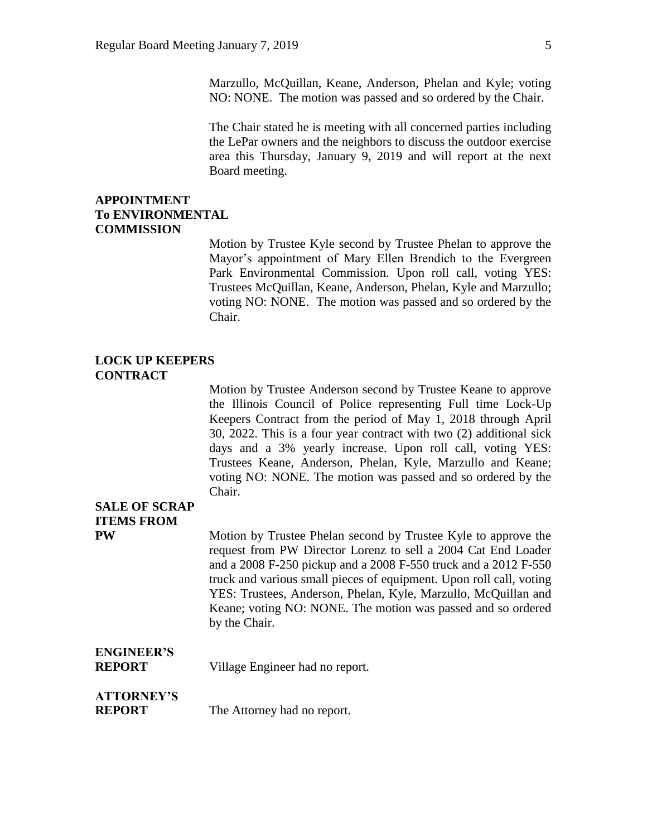Marzullo, McQuillan, Keane, Anderson, Phelan and Kyle; voting NO: NONE. The motion was passed and so ordered by the Chair.

The Chair stated he is meeting with all concerned parties including the LePar owners and the neighbors to discuss the outdoor exercise area this Thursday, January 9, 2019 and will report at the next Board meeting.

#### **APPOINTMENT To ENVIRONMENTAL COMMISSION**

Motion by Trustee Kyle second by Trustee Phelan to approve the Mayor's appointment of Mary Ellen Brendich to the Evergreen Park Environmental Commission. Upon roll call, voting YES: Trustees McQuillan, Keane, Anderson, Phelan, Kyle and Marzullo; voting NO: NONE. The motion was passed and so ordered by the Chair.

#### **LOCK UP KEEPERS CONTRACT**

Motion by Trustee Anderson second by Trustee Keane to approve the Illinois Council of Police representing Full time Lock-Up Keepers Contract from the period of May 1, 2018 through April 30, 2022. This is a four year contract with two (2) additional sick days and a 3% yearly increase. Upon roll call, voting YES: Trustees Keane, Anderson, Phelan, Kyle, Marzullo and Keane; voting NO: NONE. The motion was passed and so ordered by the Chair.

# **SALE OF SCRAP ITEMS FROM**

**PW** Motion by Trustee Phelan second by Trustee Kyle to approve the request from PW Director Lorenz to sell a 2004 Cat End Loader and a 2008 F-250 pickup and a 2008 F-550 truck and a 2012 F-550 truck and various small pieces of equipment. Upon roll call, voting YES: Trustees, Anderson, Phelan, Kyle, Marzullo, McQuillan and Keane; voting NO: NONE. The motion was passed and so ordered by the Chair.

# **ENGINEER'S**

**REPORT** Village Engineer had no report.

### **ATTORNEY'S**

**REPORT** The Attorney had no report.